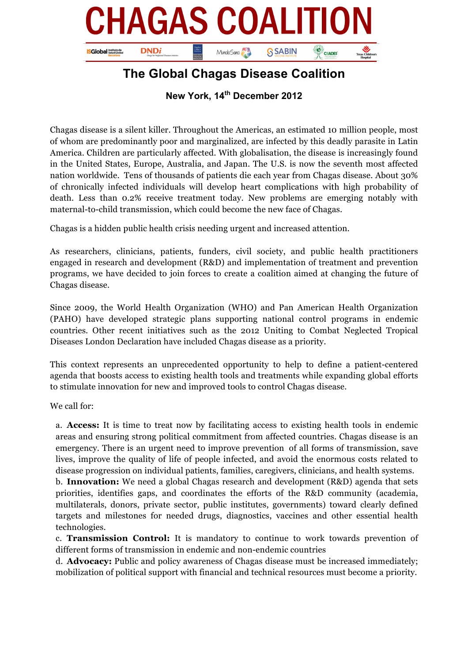

## **The Global Chagas Disease Coalition**

**New York, 14th December 2012**

Chagas disease is a silent killer. Throughout the Americas, an estimated 10 million people, most of whom are predominantly poor and marginalized, are infected by this deadly parasite in Latin America. Children are particularly affected. With globalisation, the disease is increasingly found in the United States, Europe, Australia, and Japan. The U.S. is now the seventh most affected nation worldwide. Tens of thousands of patients die each year from Chagas disease. About 30% of chronically infected individuals will develop heart complications with high probability of death. Less than 0.2% receive treatment today. New problems are emerging notably with maternal-to-child transmission, which could become the new face of Chagas.

Chagas is a hidden public health crisis needing urgent and increased attention.

As researchers, clinicians, patients, funders, civil society, and public health practitioners engaged in research and development (R&D) and implementation of treatment and prevention programs, we have decided to join forces to create a coalition aimed at changing the future of Chagas disease.

Since 2009, the World Health Organization (WHO) and Pan American Health Organization (PAHO) have developed strategic plans supporting national control programs in endemic countries. Other recent initiatives such as the 2012 Uniting to Combat Neglected Tropical Diseases London Declaration have included Chagas disease as a priority.

This context represents an unprecedented opportunity to help to define a patient-centered agenda that boosts access to existing health tools and treatments while expanding global efforts to stimulate innovation for new and improved tools to control Chagas disease.

We call for:

a. **Access:** It is time to treat now by facilitating access to existing health tools in endemic areas and ensuring strong political commitment from affected countries. Chagas disease is an emergency. There is an urgent need to improve prevention of all forms of transmission, save lives, improve the quality of life of people infected, and avoid the enormous costs related to disease progression on individual patients, families, caregivers, clinicians, and health systems.

b. **Innovation:** We need a global Chagas research and development (R&D) agenda that sets priorities, identifies gaps, and coordinates the efforts of the R&D community (academia, multilaterals, donors, private sector, public institutes, governments) toward clearly defined targets and milestones for needed drugs, diagnostics, vaccines and other essential health technologies.

c. **Transmission Control:** It is mandatory to continue to work towards prevention of different forms of transmission in endemic and non-endemic countries

d. **Advocacy:** Public and policy awareness of Chagas disease must be increased immediately; mobilization of political support with financial and technical resources must become a priority.